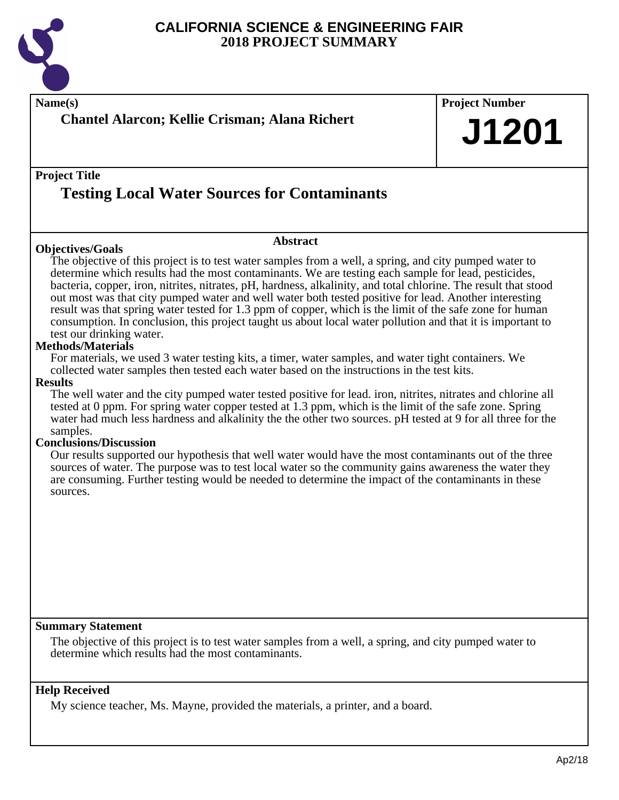

| Name(s)<br><b>Chantel Alarcon; Kellie Crisman; Alana Richert</b>                                                                                                                                                                                                                                                                                                                                                                                                                                                                                                                                                                                                                                                                                                                                                                                                                                                                                                                                                                                                                                                                                                                                                                                                                                                                                                                                                                                                                                                                                                                                                                                                                                                       | <b>Project Number</b><br>J1201 |
|------------------------------------------------------------------------------------------------------------------------------------------------------------------------------------------------------------------------------------------------------------------------------------------------------------------------------------------------------------------------------------------------------------------------------------------------------------------------------------------------------------------------------------------------------------------------------------------------------------------------------------------------------------------------------------------------------------------------------------------------------------------------------------------------------------------------------------------------------------------------------------------------------------------------------------------------------------------------------------------------------------------------------------------------------------------------------------------------------------------------------------------------------------------------------------------------------------------------------------------------------------------------------------------------------------------------------------------------------------------------------------------------------------------------------------------------------------------------------------------------------------------------------------------------------------------------------------------------------------------------------------------------------------------------------------------------------------------------|--------------------------------|
| <b>Project Title</b><br><b>Testing Local Water Sources for Contaminants</b>                                                                                                                                                                                                                                                                                                                                                                                                                                                                                                                                                                                                                                                                                                                                                                                                                                                                                                                                                                                                                                                                                                                                                                                                                                                                                                                                                                                                                                                                                                                                                                                                                                            |                                |
| <b>Abstract</b><br><b>Objectives/Goals</b><br>The objective of this project is to test water samples from a well, a spring, and city pumped water to<br>determine which results had the most contaminants. We are testing each sample for lead, pesticides,<br>bacteria, copper, iron, nitrites, nitrates, pH, hardness, alkalinity, and total chlorine. The result that stood<br>out most was that city pumped water and well water both tested positive for lead. Another interesting<br>result was that spring water tested for 1.3 ppm of copper, which is the limit of the safe zone for human<br>consumption. In conclusion, this project taught us about local water pollution and that it is important to<br>test our drinking water.<br>Methods/Materials<br>For materials, we used 3 water testing kits, a timer, water samples, and water tight containers. We<br>collected water samples then tested each water based on the instructions in the test kits.<br><b>Results</b><br>The well water and the city pumped water tested positive for lead. iron, nitrites, nitrates and chlorine all<br>tested at 0 ppm. For spring water copper tested at 1.3 ppm, which is the limit of the safe zone. Spring<br>water had much less hardness and alkalinity the the other two sources. pH tested at 9 for all three for the<br>samples.<br><b>Conclusions/Discussion</b><br>Our results supported our hypothesis that well water would have the most contaminants out of the three<br>sources of water. The purpose was to test local water so the community gains awareness the water they<br>are consuming. Further testing would be needed to determine the impact of the contaminants in these<br>sources. |                                |
| <b>Summary Statement</b><br>The objective of this project is to test water samples from a well, a spring, and city pumped water to<br>determine which results had the most contaminants.                                                                                                                                                                                                                                                                                                                                                                                                                                                                                                                                                                                                                                                                                                                                                                                                                                                                                                                                                                                                                                                                                                                                                                                                                                                                                                                                                                                                                                                                                                                               |                                |
| <b>Help Received</b><br>My science teacher, Ms. Mayne, provided the materials, a printer, and a board.                                                                                                                                                                                                                                                                                                                                                                                                                                                                                                                                                                                                                                                                                                                                                                                                                                                                                                                                                                                                                                                                                                                                                                                                                                                                                                                                                                                                                                                                                                                                                                                                                 |                                |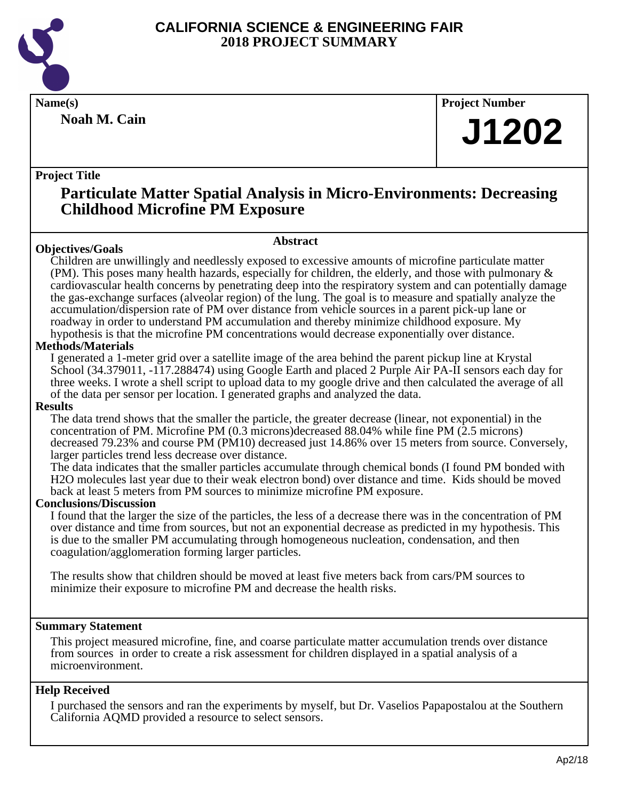

**Noah M. Cain**

**Name(s) Project Number**

## **J1202**

## **Project Title**

## **Particulate Matter Spatial Analysis in Micro-Environments: Decreasing Childhood Microfine PM Exposure**

**Abstract**

## **Objectives/Goals**

Children are unwillingly and needlessly exposed to excessive amounts of microfine particulate matter (PM). This poses many health hazards, especially for children, the elderly, and those with pulmonary & cardiovascular health concerns by penetrating deep into the respiratory system and can potentially damage the gas-exchange surfaces (alveolar region) of the lung. The goal is to measure and spatially analyze the accumulation/dispersion rate of PM over distance from vehicle sources in a parent pick-up lane or roadway in order to understand PM accumulation and thereby minimize childhood exposure. My

hypothesis is that the microfine PM concentrations would decrease exponentially over distance. **Methods/Materials**

I generated a 1-meter grid over a satellite image of the area behind the parent pickup line at Krystal School (34.379011, -117.288474) using Google Earth and placed 2 Purple Air PA-II sensors each day for three weeks. I wrote a shell script to upload data to my google drive and then calculated the average of all of the data per sensor per location. I generated graphs and analyzed the data.

## **Results**

The data trend shows that the smaller the particle, the greater decrease (linear, not exponential) in the concentration of PM. Microfine PM (0.3 microns)decreased 88.04% while fine PM (2.5 microns) decreased 79.23% and course PM (PM10) decreased just 14.86% over 15 meters from source. Conversely, larger particles trend less decrease over distance.

The data indicates that the smaller particles accumulate through chemical bonds (I found PM bonded with H2O molecules last year due to their weak electron bond) over distance and time. Kids should be moved back at least 5 meters from PM sources to minimize microfine PM exposure.

## **Conclusions/Discussion**

I found that the larger the size of the particles, the less of a decrease there was in the concentration of PM over distance and time from sources, but not an exponential decrease as predicted in my hypothesis. This is due to the smaller PM accumulating through homogeneous nucleation, condensation, and then coagulation/agglomeration forming larger particles.

The results show that children should be moved at least five meters back from cars/PM sources to minimize their exposure to microfine PM and decrease the health risks.

## **Summary Statement**

This project measured microfine, fine, and coarse particulate matter accumulation trends over distance from sources in order to create a risk assessment for children displayed in a spatial analysis of a microenvironment.

## **Help Received**

I purchased the sensors and ran the experiments by myself, but Dr. Vaselios Papapostalou at the Southern California AQMD provided a resource to select sensors.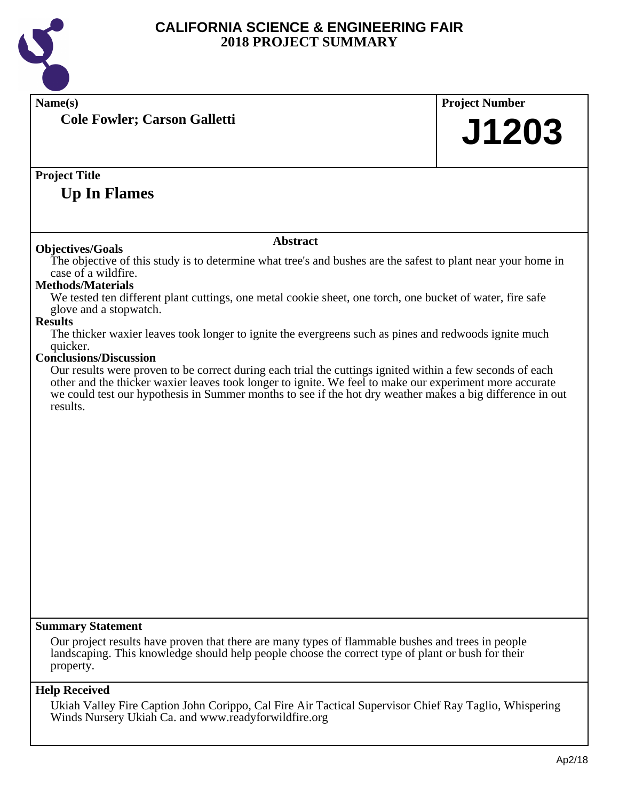

| Name(s)                                                                                                                                                                                                                                                                                                                                       | <b>Project Number</b> |
|-----------------------------------------------------------------------------------------------------------------------------------------------------------------------------------------------------------------------------------------------------------------------------------------------------------------------------------------------|-----------------------|
| <b>Cole Fowler; Carson Galletti</b>                                                                                                                                                                                                                                                                                                           | J1203                 |
|                                                                                                                                                                                                                                                                                                                                               |                       |
| <b>Project Title</b>                                                                                                                                                                                                                                                                                                                          |                       |
| <b>Up In Flames</b>                                                                                                                                                                                                                                                                                                                           |                       |
|                                                                                                                                                                                                                                                                                                                                               |                       |
|                                                                                                                                                                                                                                                                                                                                               |                       |
| <b>Abstract</b><br><b>Objectives/Goals</b>                                                                                                                                                                                                                                                                                                    |                       |
| The objective of this study is to determine what tree's and bushes are the safest to plant near your home in<br>case of a wildfire.                                                                                                                                                                                                           |                       |
| <b>Methods/Materials</b>                                                                                                                                                                                                                                                                                                                      |                       |
| We tested ten different plant cuttings, one metal cookie sheet, one torch, one bucket of water, fire safe                                                                                                                                                                                                                                     |                       |
| glove and a stopwatch.<br><b>Results</b>                                                                                                                                                                                                                                                                                                      |                       |
| The thicker waxier leaves took longer to ignite the evergreens such as pines and redwoods ignite much<br>quicker.                                                                                                                                                                                                                             |                       |
| <b>Conclusions/Discussion</b>                                                                                                                                                                                                                                                                                                                 |                       |
| Our results were proven to be correct during each trial the cuttings ignited within a few seconds of each<br>other and the thicker waxier leaves took longer to ignite. We feel to make our experiment more accurate<br>we could test our hypothesis in Summer months to see if the hot dry weather makes a big difference in out<br>results. |                       |
|                                                                                                                                                                                                                                                                                                                                               |                       |
|                                                                                                                                                                                                                                                                                                                                               |                       |
|                                                                                                                                                                                                                                                                                                                                               |                       |
|                                                                                                                                                                                                                                                                                                                                               |                       |
|                                                                                                                                                                                                                                                                                                                                               |                       |
|                                                                                                                                                                                                                                                                                                                                               |                       |
|                                                                                                                                                                                                                                                                                                                                               |                       |
|                                                                                                                                                                                                                                                                                                                                               |                       |
|                                                                                                                                                                                                                                                                                                                                               |                       |
|                                                                                                                                                                                                                                                                                                                                               |                       |
|                                                                                                                                                                                                                                                                                                                                               |                       |
|                                                                                                                                                                                                                                                                                                                                               |                       |
|                                                                                                                                                                                                                                                                                                                                               |                       |
|                                                                                                                                                                                                                                                                                                                                               |                       |
| <b>Summary Statement</b>                                                                                                                                                                                                                                                                                                                      |                       |
| Our project results have proven that there are many types of flammable bushes and trees in people<br>landscaping. This knowledge should help people choose the correct type of plant or bush for their<br>property.                                                                                                                           |                       |
| <b>Help Received</b>                                                                                                                                                                                                                                                                                                                          |                       |
| Ukiah Valley Fire Caption John Corippo, Cal Fire Air Tactical Supervisor Chief Ray Taglio, Whispering<br>Winds Nursery Ukiah Ca. and www.readyforwildfire.org                                                                                                                                                                                 |                       |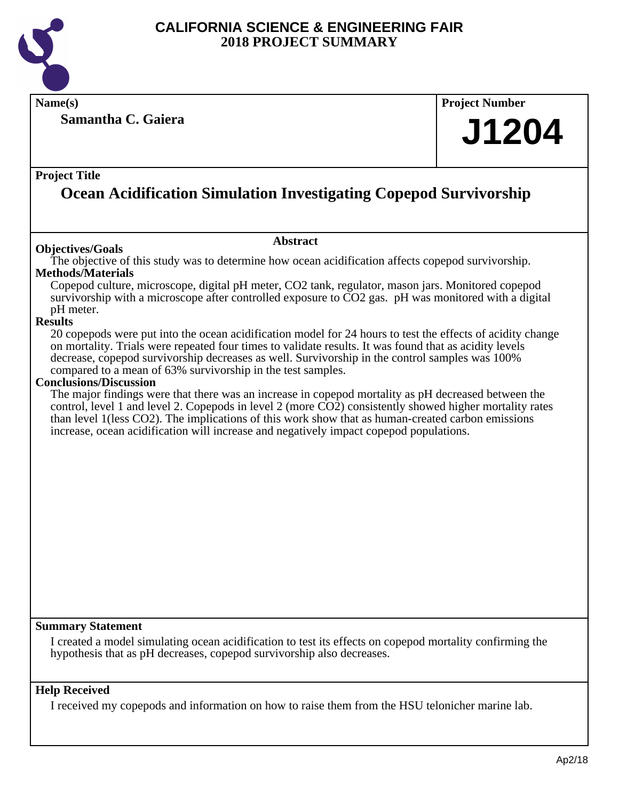

**Name(s) Project Number**

**Samantha C. Gaiera**

# **J1204**

## **Project Title**

## **Ocean Acidification Simulation Investigating Copepod Survivorship**

## **Objectives/Goals**

#### **Abstract**

The objective of this study was to determine how ocean acidification affects copepod survivorship. **Methods/Materials**

Copepod culture, microscope, digital pH meter, CO2 tank, regulator, mason jars. Monitored copepod survivorship with a microscope after controlled exposure to CO2 gas. pH was monitored with a digital pH meter.

## **Results**

20 copepods were put into the ocean acidification model for 24 hours to test the effects of acidity change on mortality. Trials were repeated four times to validate results. It was found that as acidity levels decrease, copepod survivorship decreases as well. Survivorship in the control samples was 100% compared to a mean of 63% survivorship in the test samples.

## **Conclusions/Discussion**

The major findings were that there was an increase in copepod mortality as pH decreased between the control, level 1 and level 2. Copepods in level 2 (more CO2) consistently showed higher mortality rates than level 1(less CO2). The implications of this work show that as human-created carbon emissions increase, ocean acidification will increase and negatively impact copepod populations.

## **Summary Statement**

I created a model simulating ocean acidification to test its effects on copepod mortality confirming the hypothesis that as pH decreases, copepod survivorship also decreases.

## **Help Received**

I received my copepods and information on how to raise them from the HSU telonicher marine lab.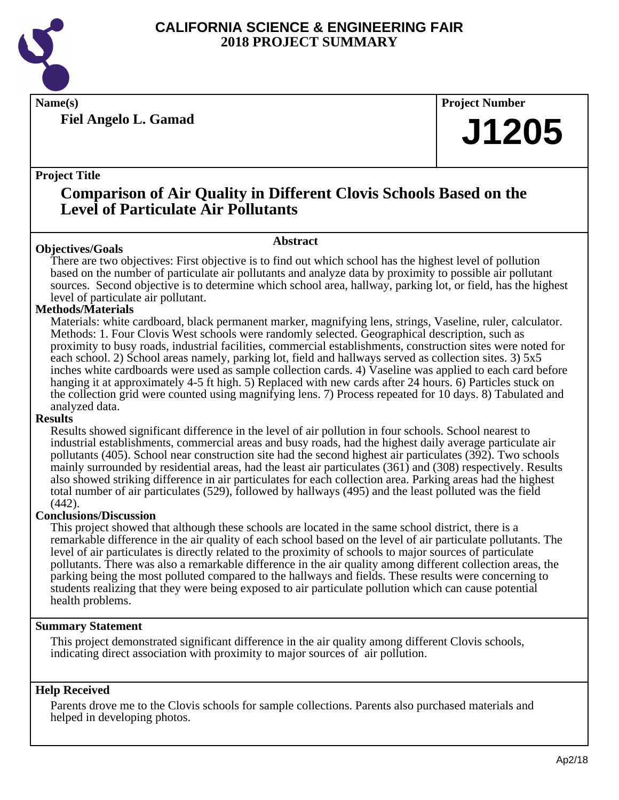

**Fiel Angelo L. Gamad**

**Name(s) Project Number**

## **J1205**

## **Project Title**

## **Comparison of Air Quality in Different Clovis Schools Based on the Level of Particulate Air Pollutants**

## **Abstract**

**Objectives/Goals** There are two objectives: First objective is to find out which school has the highest level of pollution based on the number of particulate air pollutants and analyze data by proximity to possible air pollutant sources. Second objective is to determine which school area, hallway, parking lot, or field, has the highest level of particulate air pollutant.

## **Methods/Materials**

Materials: white cardboard, black permanent marker, magnifying lens, strings, Vaseline, ruler, calculator. Methods: 1. Four Clovis West schools were randomly selected. Geographical description, such as proximity to busy roads, industrial facilities, commercial establishments, construction sites were noted for each school. 2) School areas namely, parking lot, field and hallways served as collection sites. 3) 5x5 inches white cardboards were used as sample collection cards. 4) Vaseline was applied to each card before hanging it at approximately 4-5 ft high. 5) Replaced with new cards after 24 hours. 6) Particles stuck on the collection grid were counted using magnifying lens. 7) Process repeated for 10 days. 8) Tabulated and analyzed data.

## **Results**

Results showed significant difference in the level of air pollution in four schools. School nearest to industrial establishments, commercial areas and busy roads, had the highest daily average particulate air pollutants (405). School near construction site had the second highest air particulates (392). Two schools mainly surrounded by residential areas, had the least air particulates (361) and (308) respectively. Results also showed striking difference in air particulates for each collection area. Parking areas had the highest total number of air particulates (529), followed by hallways (495) and the least polluted was the field (442).

## **Conclusions/Discussion**

This project showed that although these schools are located in the same school district, there is a remarkable difference in the air quality of each school based on the level of air particulate pollutants. The level of air particulates is directly related to the proximity of schools to major sources of particulate pollutants. There was also a remarkable difference in the air quality among different collection areas, the parking being the most polluted compared to the hallways and fields. These results were concerning to students realizing that they were being exposed to air particulate pollution which can cause potential health problems.

## **Summary Statement**

This project demonstrated significant difference in the air quality among different Clovis schools, indicating direct association with proximity to major sources of air pollution.

## **Help Received**

Parents drove me to the Clovis schools for sample collections. Parents also purchased materials and helped in developing photos.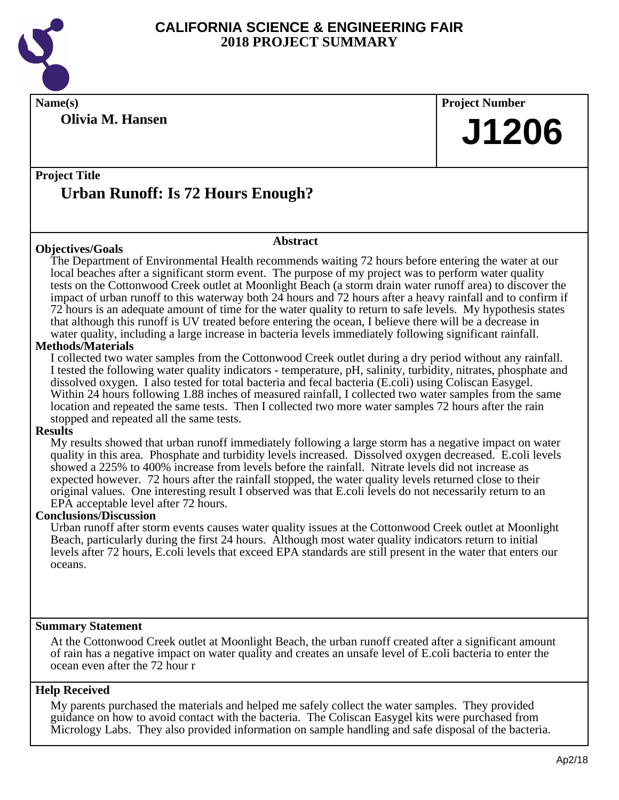

**Olivia M. Hansen**

**Name(s) Project Number J1206**

## **Project Title Urban Runoff: Is 72 Hours Enough?**

#### **Objectives/Goals**

**Abstract**

The Department of Environmental Health recommends waiting 72 hours before entering the water at our local beaches after a significant storm event. The purpose of my project was to perform water quality tests on the Cottonwood Creek outlet at Moonlight Beach (a storm drain water runoff area) to discover the impact of urban runoff to this waterway both 24 hours and 72 hours after a heavy rainfall and to confirm if 72 hours is an adequate amount of time for the water quality to return to safe levels. My hypothesis states that although this runoff is UV treated before entering the ocean, I believe there will be a decrease in water quality, including a large increase in bacteria levels immediately following significant rainfall.

## **Methods/Materials**

I collected two water samples from the Cottonwood Creek outlet during a dry period without any rainfall. I tested the following water quality indicators - temperature, pH, salinity, turbidity, nitrates, phosphate and dissolved oxygen. I also tested for total bacteria and fecal bacteria (E.coli) using Coliscan Easygel. Within 24 hours following 1.88 inches of measured rainfall, I collected two water samples from the same location and repeated the same tests. Then I collected two more water samples 72 hours after the rain stopped and repeated all the same tests.

#### **Results**

My results showed that urban runoff immediately following a large storm has a negative impact on water quality in this area. Phosphate and turbidity levels increased. Dissolved oxygen decreased. E.coli levels showed a 225% to 400% increase from levels before the rainfall. Nitrate levels did not increase as expected however. 72 hours after the rainfall stopped, the water quality levels returned close to their original values. One interesting result I observed was that E.coli levels do not necessarily return to an EPA acceptable level after 72 hours.

## **Conclusions/Discussion**

Urban runoff after storm events causes water quality issues at the Cottonwood Creek outlet at Moonlight Beach, particularly during the first 24 hours. Although most water quality indicators return to initial levels after 72 hours, E.coli levels that exceed EPA standards are still present in the water that enters our oceans.

## **Summary Statement**

At the Cottonwood Creek outlet at Moonlight Beach, the urban runoff created after a significant amount of rain has a negative impact on water quality and creates an unsafe level of E.coli bacteria to enter the ocean even after the 72 hour r

## **Help Received**

My parents purchased the materials and helped me safely collect the water samples. They provided guidance on how to avoid contact with the bacteria. The Coliscan Easygel kits were purchased from Micrology Labs. They also provided information on sample handling and safe disposal of the bacteria.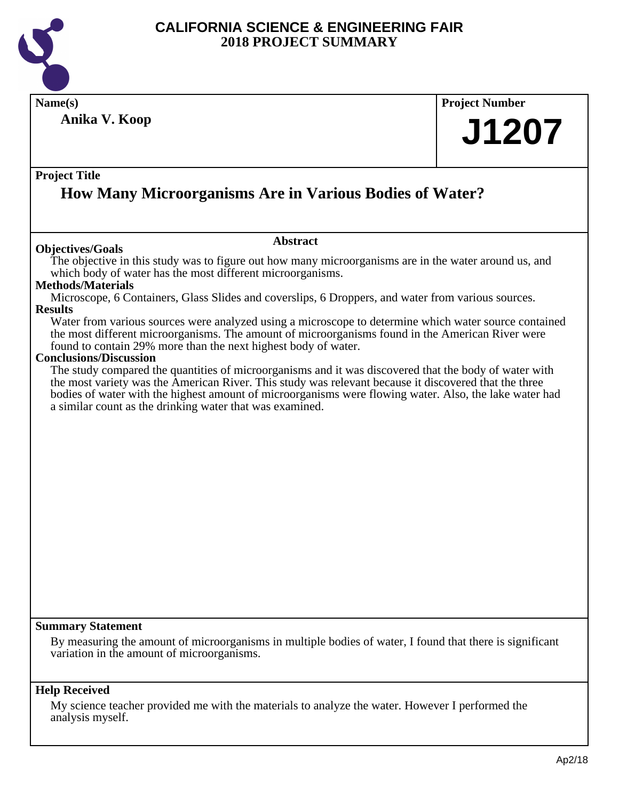

**Name(s) Project Number Project Title Abstract Summary Statement Help Received Anika V. Koop How Many Microorganisms Are in Various Bodies of Water? J1207 Objectives/Goals** The objective in this study was to figure out how many microorganisms are in the water around us, and which body of water has the most different microorganisms. **Methods/Materials** Microscope, 6 Containers, Glass Slides and coverslips, 6 Droppers, and water from various sources. **Results** Water from various sources were analyzed using a microscope to determine which water source contained the most different microorganisms. The amount of microorganisms found in the American River were found to contain 29% more than the next highest body of water. **Conclusions/Discussion** The study compared the quantities of microorganisms and it was discovered that the body of water with the most variety was the American River. This study was relevant because it discovered that the three bodies of water with the highest amount of microorganisms were flowing water. Also, the lake water had a similar count as the drinking water that was examined. By measuring the amount of microorganisms in multiple bodies of water, I found that there is significant variation in the amount of microorganisms.

My science teacher provided me with the materials to analyze the water. However I performed the analysis myself.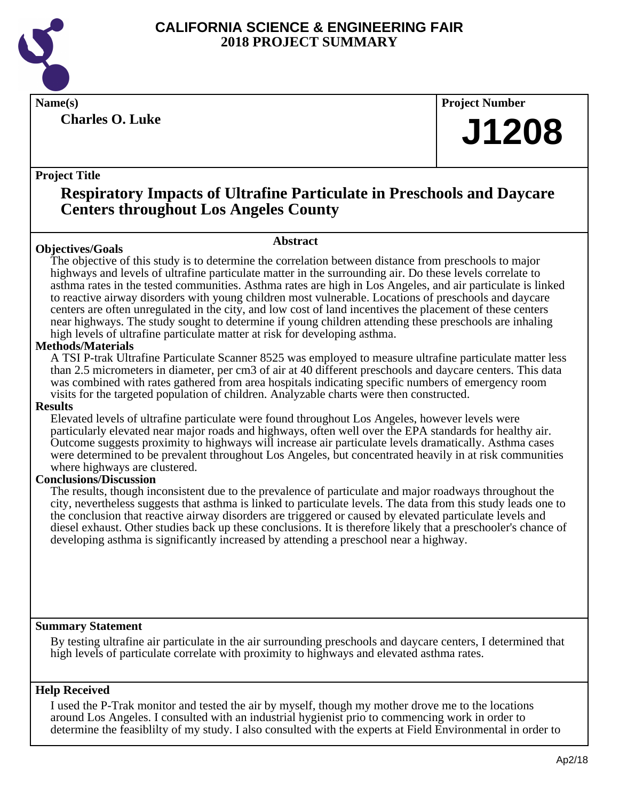

**Charles O. Luke**

**Name(s) Project Number**

## **J1208**

## **Project Title**

## **Respiratory Impacts of Ultrafine Particulate in Preschools and Daycare Centers throughout Los Angeles County**

**Abstract**

## **Objectives/Goals**

The objective of this study is to determine the correlation between distance from preschools to major highways and levels of ultrafine particulate matter in the surrounding air. Do these levels correlate to asthma rates in the tested communities. Asthma rates are high in Los Angeles, and air particulate is linked to reactive airway disorders with young children most vulnerable. Locations of preschools and daycare centers are often unregulated in the city, and low cost of land incentives the placement of these centers near highways. The study sought to determine if young children attending these preschools are inhaling high levels of ultrafine particulate matter at risk for developing asthma.

## **Methods/Materials**

A TSI P-trak Ultrafine Particulate Scanner 8525 was employed to measure ultrafine particulate matter less than 2.5 micrometers in diameter, per cm3 of air at 40 different preschools and daycare centers. This data was combined with rates gathered from area hospitals indicating specific numbers of emergency room visits for the targeted population of children. Analyzable charts were then constructed.

## **Results**

Elevated levels of ultrafine particulate were found throughout Los Angeles, however levels were particularly elevated near major roads and highways, often well over the EPA standards for healthy air. Outcome suggests proximity to highways will increase air particulate levels dramatically. Asthma cases were determined to be prevalent throughout Los Angeles, but concentrated heavily in at risk communities where highways are clustered.

## **Conclusions/Discussion**

The results, though inconsistent due to the prevalence of particulate and major roadways throughout the city, nevertheless suggests that asthma is linked to particulate levels. The data from this study leads one to the conclusion that reactive airway disorders are triggered or caused by elevated particulate levels and diesel exhaust. Other studies back up these conclusions. It is therefore likely that a preschooler's chance of developing asthma is significantly increased by attending a preschool near a highway.

## **Summary Statement**

By testing ultrafine air particulate in the air surrounding preschools and daycare centers, I determined that high levels of particulate correlate with proximity to highways and elevated asthma rates.

## **Help Received**

I used the P-Trak monitor and tested the air by myself, though my mother drove me to the locations around Los Angeles. I consulted with an industrial hygienist prio to commencing work in order to determine the feasiblilty of my study. I also consulted with the experts at Field Environmental in order to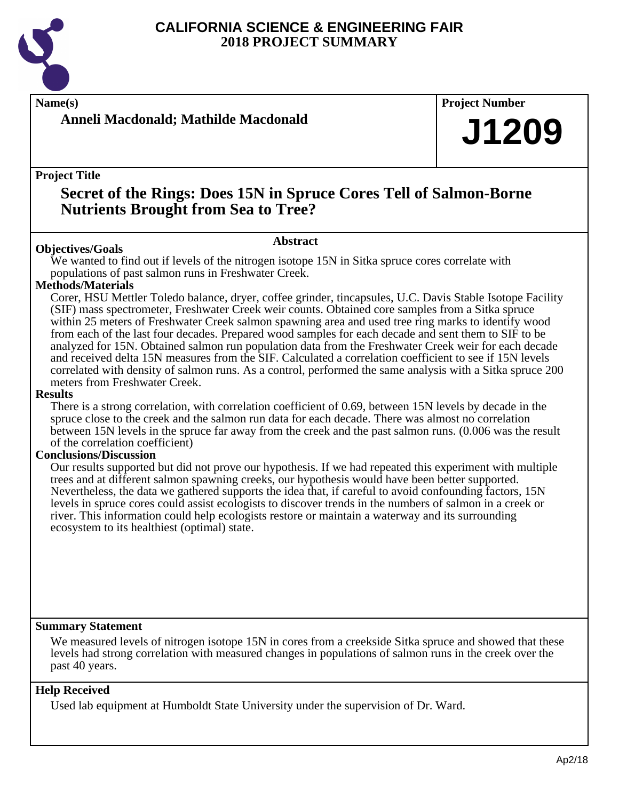

## **Anneli Macdonald; Mathilde Macdonald**

**Name(s) Project Number**

## **J1209**

**Project Title**

## **Secret of the Rings: Does 15N in Spruce Cores Tell of Salmon-Borne Nutrients Brought from Sea to Tree?**

## **Abstract**

**Objectives/Goals** We wanted to find out if levels of the nitrogen isotope 15N in Sitka spruce cores correlate with populations of past salmon runs in Freshwater Creek.

## **Methods/Materials**

Corer, HSU Mettler Toledo balance, dryer, coffee grinder, tincapsules, U.C. Davis Stable Isotope Facility (SIF) mass spectrometer, Freshwater Creek weir counts. Obtained core samples from a Sitka spruce within 25 meters of Freshwater Creek salmon spawning area and used tree ring marks to identify wood from each of the last four decades. Prepared wood samples for each decade and sent them to SIF to be analyzed for 15N. Obtained salmon run population data from the Freshwater Creek weir for each decade and received delta 15N measures from the SIF. Calculated a correlation coefficient to see if 15N levels correlated with density of salmon runs. As a control, performed the same analysis with a Sitka spruce 200 meters from Freshwater Creek.

#### **Results**

There is a strong correlation, with correlation coefficient of 0.69, between 15N levels by decade in the spruce close to the creek and the salmon run data for each decade. There was almost no correlation between 15N levels in the spruce far away from the creek and the past salmon runs. (0.006 was the result of the correlation coefficient)

## **Conclusions/Discussion**

Our results supported but did not prove our hypothesis. If we had repeated this experiment with multiple trees and at different salmon spawning creeks, our hypothesis would have been better supported. Nevertheless, the data we gathered supports the idea that, if careful to avoid confounding factors, 15N levels in spruce cores could assist ecologists to discover trends in the numbers of salmon in a creek or river. This information could help ecologists restore or maintain a waterway and its surrounding ecosystem to its healthiest (optimal) state.

## **Summary Statement**

We measured levels of nitrogen isotope 15N in cores from a creekside Sitka spruce and showed that these levels had strong correlation with measured changes in populations of salmon runs in the creek over the past 40 years.

## **Help Received**

Used lab equipment at Humboldt State University under the supervision of Dr. Ward.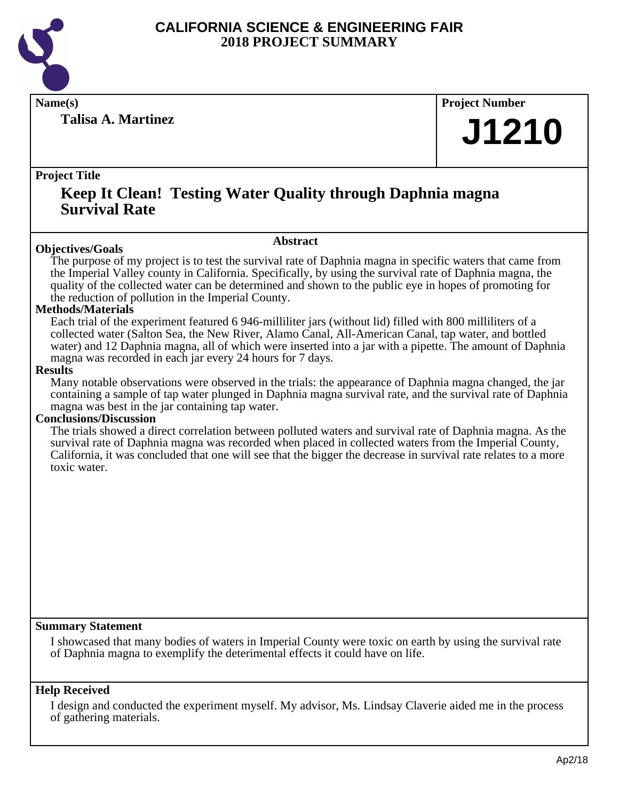

**Talisa A. Martinez**

**Name(s) Project Number**

## **J1210**

## **Project Title**

## **Keep It Clean! Testing Water Quality through Daphnia magna Survival Rate**

#### **Abstract**

**Objectives/Goals** The purpose of my project is to test the survival rate of Daphnia magna in specific waters that came from the Imperial Valley county in California. Specifically, by using the survival rate of Daphnia magna, the quality of the collected water can be determined and shown to the public eye in hopes of promoting for the reduction of pollution in the Imperial County.

## **Methods/Materials**

Each trial of the experiment featured 6 946-milliliter jars (without lid) filled with 800 milliliters of a collected water (Salton Sea, the New River, Alamo Canal, All-American Canal, tap water, and bottled water) and 12 Daphnia magna, all of which were inserted into a jar with a pipette. The amount of Daphnia magna was recorded in each jar every 24 hours for 7 days.

#### **Results**

Many notable observations were observed in the trials: the appearance of Daphnia magna changed, the jar containing a sample of tap water plunged in Daphnia magna survival rate, and the survival rate of Daphnia magna was best in the jar containing tap water.

## **Conclusions/Discussion**

The trials showed a direct correlation between polluted waters and survival rate of Daphnia magna. As the survival rate of Daphnia magna was recorded when placed in collected waters from the Imperial County, California, it was concluded that one will see that the bigger the decrease in survival rate relates to a more toxic water.

## **Summary Statement**

I showcased that many bodies of waters in Imperial County were toxic on earth by using the survival rate of Daphnia magna to exemplify the deterimental effects it could have on life.

## **Help Received**

I design and conducted the experiment myself. My advisor, Ms. Lindsay Claverie aided me in the process of gathering materials.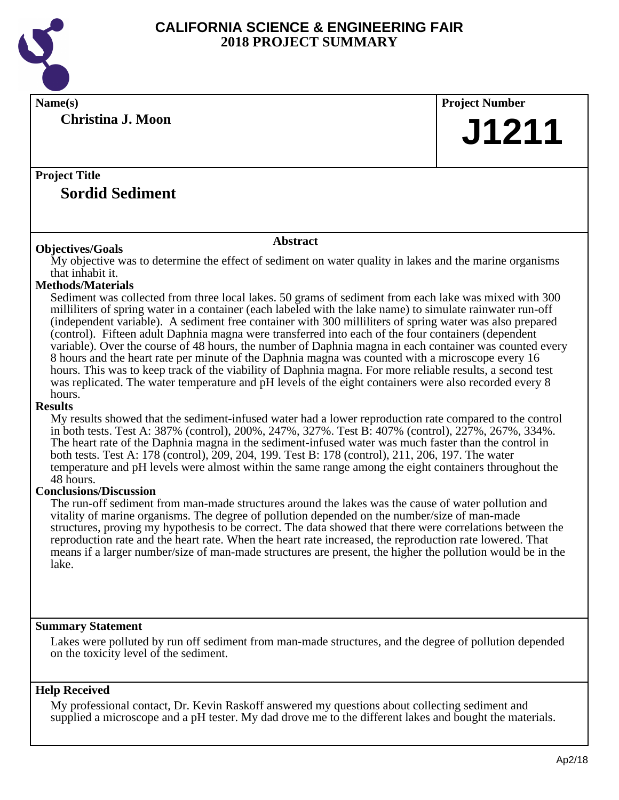

| Name(s)                                                                                                                                                                                                                                                                                                                                                                                                                                                                                                                                                                                                                                                                                                                                                                                                                                                                                                                                                                                                                                                                                                                                                                                                                                                                                                                                                                                                                                                                                                                                                                                                                                                                                                                                                                                       | <b>Project Number</b> |  |
|-----------------------------------------------------------------------------------------------------------------------------------------------------------------------------------------------------------------------------------------------------------------------------------------------------------------------------------------------------------------------------------------------------------------------------------------------------------------------------------------------------------------------------------------------------------------------------------------------------------------------------------------------------------------------------------------------------------------------------------------------------------------------------------------------------------------------------------------------------------------------------------------------------------------------------------------------------------------------------------------------------------------------------------------------------------------------------------------------------------------------------------------------------------------------------------------------------------------------------------------------------------------------------------------------------------------------------------------------------------------------------------------------------------------------------------------------------------------------------------------------------------------------------------------------------------------------------------------------------------------------------------------------------------------------------------------------------------------------------------------------------------------------------------------------|-----------------------|--|
| <b>Christina J. Moon</b>                                                                                                                                                                                                                                                                                                                                                                                                                                                                                                                                                                                                                                                                                                                                                                                                                                                                                                                                                                                                                                                                                                                                                                                                                                                                                                                                                                                                                                                                                                                                                                                                                                                                                                                                                                      | J1211                 |  |
| <b>Project Title</b><br><b>Sordid Sediment</b>                                                                                                                                                                                                                                                                                                                                                                                                                                                                                                                                                                                                                                                                                                                                                                                                                                                                                                                                                                                                                                                                                                                                                                                                                                                                                                                                                                                                                                                                                                                                                                                                                                                                                                                                                |                       |  |
| <b>Abstract</b>                                                                                                                                                                                                                                                                                                                                                                                                                                                                                                                                                                                                                                                                                                                                                                                                                                                                                                                                                                                                                                                                                                                                                                                                                                                                                                                                                                                                                                                                                                                                                                                                                                                                                                                                                                               |                       |  |
| <b>Objectives/Goals</b><br>My objective was to determine the effect of sediment on water quality in lakes and the marine organisms<br>that inhabit it.<br><b>Methods/Materials</b><br>Sediment was collected from three local lakes. 50 grams of sediment from each lake was mixed with 300<br>millilitiers of spring water in a container (each labeled with the lake name) to simulate rainwater run-off<br>(independent variable). A sediment free container with 300 milliliters of spring water was also prepared<br>(control). Fifteen adult Daphnia magna were transferred into each of the four containers (dependent<br>variable). Over the course of 48 hours, the number of Daphnia magna in each container was counted every<br>8 hours and the heart rate per minute of the Daphnia magna was counted with a microscope every 16<br>hours. This was to keep track of the viability of Daphnia magna. For more reliable results, a second test<br>was replicated. The water temperature and pH levels of the eight containers were also recorded every 8<br>hours.<br><b>Results</b><br>My results showed that the sediment-infused water had a lower reproduction rate compared to the control<br>in both tests. Test A: 387% (control), 200%, 247%, 327%. Test B: 407% (control), 227%, 267%, 334%.<br>The heart rate of the Daphnia magna in the sediment-infused water was much faster than the control in<br>both tests. Test A: 178 (control), 209, 204, 199. Test B: 178 (control), 211, 206, 197. The water<br>temperature and pH levels were almost within the same range among the eight containers throughout the<br>48 hours.<br><b>Conclusions/Discussion</b><br>The run-off sediment from man-made structures around the lakes was the cause of water pollution and |                       |  |
| vitality of marine organisms. The degree of pollution depended on the number/size of man-made<br>structures, proving my hypothesis to be correct. The data showed that there were correlations between the<br>reproduction rate and the heart rate. When the heart rate increased, the reproduction rate lowered. That<br>means if a larger number/size of man-made structures are present, the higher the pollution would be in the<br>lake.                                                                                                                                                                                                                                                                                                                                                                                                                                                                                                                                                                                                                                                                                                                                                                                                                                                                                                                                                                                                                                                                                                                                                                                                                                                                                                                                                 |                       |  |

## **Summary Statement**

Lakes were polluted by run off sediment from man-made structures, and the degree of pollution depended on the toxicity level of the sediment.

## **Help Received**

My professional contact, Dr. Kevin Raskoff answered my questions about collecting sediment and supplied a microscope and a pH tester. My dad drove me to the different lakes and bought the materials.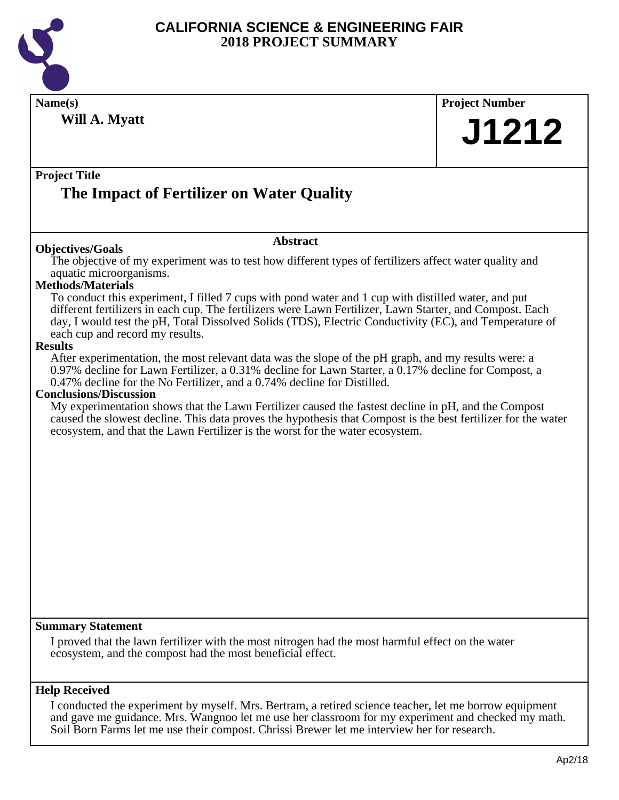

| Name(s)<br>Will A. Myatt                                                                                                                                                                                                                                                                                                                                                                 | <b>Project Number</b> |
|------------------------------------------------------------------------------------------------------------------------------------------------------------------------------------------------------------------------------------------------------------------------------------------------------------------------------------------------------------------------------------------|-----------------------|
|                                                                                                                                                                                                                                                                                                                                                                                          | J1212                 |
| <b>Project Title</b>                                                                                                                                                                                                                                                                                                                                                                     |                       |
| The Impact of Fertilizer on Water Quality                                                                                                                                                                                                                                                                                                                                                |                       |
| <b>Abstract</b><br><b>Objectives/Goals</b>                                                                                                                                                                                                                                                                                                                                               |                       |
| The objective of my experiment was to test how different types of fertilizers affect water quality and<br>aquatic microorganisms.                                                                                                                                                                                                                                                        |                       |
| <b>Methods/Materials</b><br>To conduct this experiment, I filled 7 cups with pond water and 1 cup with distilled water, and put<br>different fertilizers in each cup. The fertilizers were Lawn Fertilizer, Lawn Starter, and Compost. Each<br>day, I would test the pH, Total Dissolved Solids (TDS), Electric Conductivity (EC), and Temperature of<br>each cup and record my results. |                       |
| <b>Results</b><br>After experimentation, the most relevant data was the slope of the pH graph, and my results were: a<br>0.97% decline for Lawn Fertilizer, a 0.31% decline for Lawn Starter, a 0.17% decline for Compost, a                                                                                                                                                             |                       |
| 0.47% decline for the No Fertilizer, and a 0.74% decline for Distilled.<br><b>Conclusions/Discussion</b>                                                                                                                                                                                                                                                                                 |                       |
| My experimentation shows that the Lawn Fertilizer caused the fastest decline in pH, and the Compost<br>caused the slowest decline. This data proves the hypothesis that Compost is the best fertilizer for the water<br>ecosystem, and that the Lawn Fertilizer is the worst for the water ecosystem.                                                                                    |                       |
|                                                                                                                                                                                                                                                                                                                                                                                          |                       |
|                                                                                                                                                                                                                                                                                                                                                                                          |                       |
|                                                                                                                                                                                                                                                                                                                                                                                          |                       |
|                                                                                                                                                                                                                                                                                                                                                                                          |                       |
|                                                                                                                                                                                                                                                                                                                                                                                          |                       |
|                                                                                                                                                                                                                                                                                                                                                                                          |                       |
|                                                                                                                                                                                                                                                                                                                                                                                          |                       |
| <b>Summary Statement</b><br>I proved that the lawn fertilizer with the most nitrogen had the most harmful effect on the water<br>ecosystem, and the compost had the most beneficial effect.                                                                                                                                                                                              |                       |
| <b>Help Received</b>                                                                                                                                                                                                                                                                                                                                                                     |                       |
| I conducted the experiment by myself. Mrs. Bertram, a retired science teacher, let me borrow equipment<br>and gave me guidance. Mrs. Wangnoo let me use her classroom for my experiment and checked my math.                                                                                                                                                                             |                       |

Soil Born Farms let me use their compost. Chrissi Brewer let me interview her for research.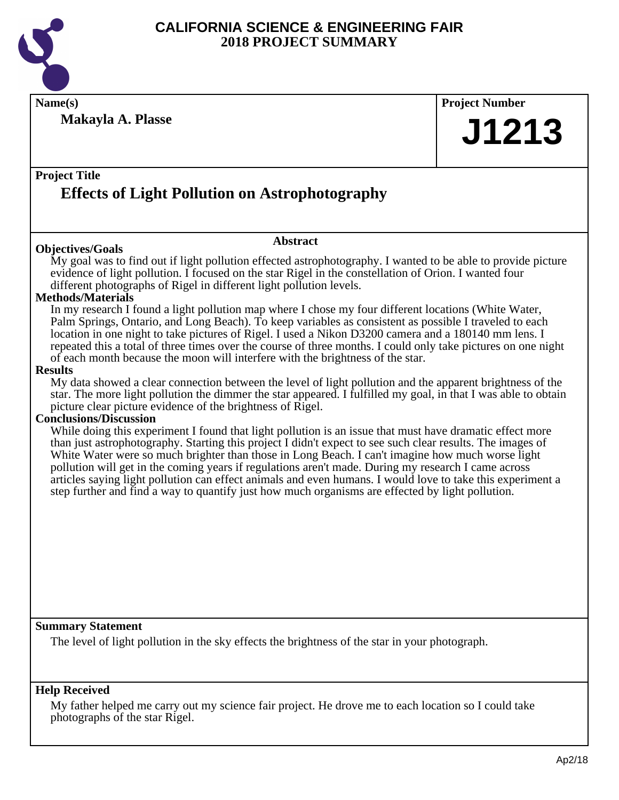

| Name(s)                                                                                                                                                                                                                |                 | <b>Project Number</b> |  |
|------------------------------------------------------------------------------------------------------------------------------------------------------------------------------------------------------------------------|-----------------|-----------------------|--|
| <b>Makayla A. Plasse</b>                                                                                                                                                                                               |                 |                       |  |
|                                                                                                                                                                                                                        |                 | J1213                 |  |
|                                                                                                                                                                                                                        |                 |                       |  |
|                                                                                                                                                                                                                        |                 |                       |  |
| <b>Project Title</b>                                                                                                                                                                                                   |                 |                       |  |
| <b>Effects of Light Pollution on Astrophotography</b>                                                                                                                                                                  |                 |                       |  |
|                                                                                                                                                                                                                        |                 |                       |  |
|                                                                                                                                                                                                                        |                 |                       |  |
|                                                                                                                                                                                                                        | <b>Abstract</b> |                       |  |
| <b>Objectives/Goals</b>                                                                                                                                                                                                |                 |                       |  |
| My goal was to find out if light pollution effected astrophotography. I wanted to be able to provide picture                                                                                                           |                 |                       |  |
| evidence of light pollution. I focused on the star Rigel in the constellation of Orion. I wanted four<br>different photographs of Rigel in different light pollution levels.                                           |                 |                       |  |
| <b>Methods/Materials</b>                                                                                                                                                                                               |                 |                       |  |
| In my research I found a light pollution map where I chose my four different locations (White Water,                                                                                                                   |                 |                       |  |
| Palm Springs, Ontario, and Long Beach). To keep variables as consistent as possible I traveled to each                                                                                                                 |                 |                       |  |
| location in one night to take pictures of Rigel. I used a Nikon D3200 camera and a 180140 mm lens. I                                                                                                                   |                 |                       |  |
| repeated this a total of three times over the course of three months. I could only take pictures on one night                                                                                                          |                 |                       |  |
| of each month because the moon will interfere with the brightness of the star.<br><b>Results</b>                                                                                                                       |                 |                       |  |
| My data showed a clear connection between the level of light pollution and the apparent brightness of the                                                                                                              |                 |                       |  |
| star. The more light pollution the dimmer the star appeared. I fulfilled my goal, in that I was able to obtain                                                                                                         |                 |                       |  |
| picture clear picture evidence of the brightness of Rigel.                                                                                                                                                             |                 |                       |  |
| <b>Conclusions/Discussion</b>                                                                                                                                                                                          |                 |                       |  |
| While doing this experiment I found that light pollution is an issue that must have dramatic effect more<br>than just astrophotography. Starting this project I didn't expect to see such clear results. The images of |                 |                       |  |
| White Water were so much brighter than those in Long Beach. I can't imagine how much worse light                                                                                                                       |                 |                       |  |
| pollution will get in the coming years if regulations aren't made. During my research I came across                                                                                                                    |                 |                       |  |
| articles saying light pollution can effect animals and even humans. I would love to take this experiment a                                                                                                             |                 |                       |  |
| step further and find a way to quantify just how much organisms are effected by light pollution.                                                                                                                       |                 |                       |  |
|                                                                                                                                                                                                                        |                 |                       |  |
|                                                                                                                                                                                                                        |                 |                       |  |
|                                                                                                                                                                                                                        |                 |                       |  |
|                                                                                                                                                                                                                        |                 |                       |  |
|                                                                                                                                                                                                                        |                 |                       |  |
|                                                                                                                                                                                                                        |                 |                       |  |
|                                                                                                                                                                                                                        |                 |                       |  |
|                                                                                                                                                                                                                        |                 |                       |  |
| <b>Summary Statement</b>                                                                                                                                                                                               |                 |                       |  |
| The level of light pollution in the sky effects the brightness of the star in your photograph.                                                                                                                         |                 |                       |  |
|                                                                                                                                                                                                                        |                 |                       |  |
|                                                                                                                                                                                                                        |                 |                       |  |
|                                                                                                                                                                                                                        |                 |                       |  |
| <b>Help Received</b>                                                                                                                                                                                                   |                 |                       |  |

My father helped me carry out my science fair project. He drove me to each location so I could take photographs of the star Rigel.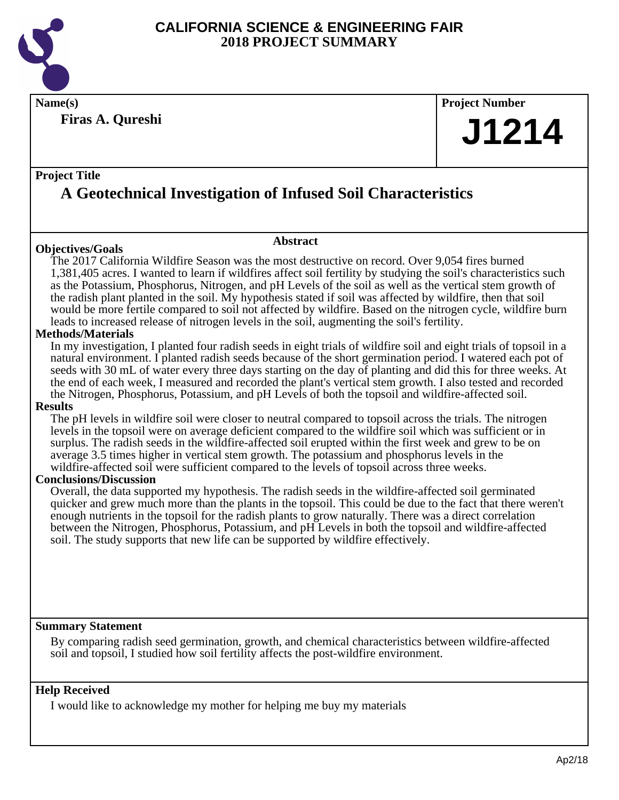

**Firas A. Qureshi**

## **Name(s) Project Number**

## **J1214**

## **Project Title A Geotechnical Investigation of Infused Soil Characteristics**

## **Objectives/Goals**

## **Abstract**

The 2017 California Wildfire Season was the most destructive on record. Over 9,054 fires burned 1,381,405 acres. I wanted to learn if wildfires affect soil fertility by studying the soil's characteristics such as the Potassium, Phosphorus, Nitrogen, and pH Levels of the soil as well as the vertical stem growth of the radish plant planted in the soil. My hypothesis stated if soil was affected by wildfire, then that soil would be more fertile compared to soil not affected by wildfire. Based on the nitrogen cycle, wildfire burn leads to increased release of nitrogen levels in the soil, augmenting the soil's fertility.

## **Methods/Materials**

In my investigation, I planted four radish seeds in eight trials of wildfire soil and eight trials of topsoil in a natural environment. I planted radish seeds because of the short germination period. I watered each pot of seeds with 30 mL of water every three days starting on the day of planting and did this for three weeks. At the end of each week, I measured and recorded the plant's vertical stem growth. I also tested and recorded the Nitrogen, Phosphorus, Potassium, and pH Levels of both the topsoil and wildfire-affected soil.

## **Results**

The pH levels in wildfire soil were closer to neutral compared to topsoil across the trials. The nitrogen levels in the topsoil were on average deficient compared to the wildfire soil which was sufficient or in surplus. The radish seeds in the wildfire-affected soil erupted within the first week and grew to be on average 3.5 times higher in vertical stem growth. The potassium and phosphorus levels in the wildfire-affected soil were sufficient compared to the levels of topsoil across three weeks.

## **Conclusions/Discussion**

Overall, the data supported my hypothesis. The radish seeds in the wildfire-affected soil germinated quicker and grew much more than the plants in the topsoil. This could be due to the fact that there weren't enough nutrients in the topsoil for the radish plants to grow naturally. There was a direct correlation between the Nitrogen, Phosphorus, Potassium, and pH Levels in both the topsoil and wildfire-affected soil. The study supports that new life can be supported by wildfire effectively.

## **Summary Statement**

By comparing radish seed germination, growth, and chemical characteristics between wildfire-affected soil and topsoil, I studied how soil fertility affects the post-wildfire environment.

## **Help Received**

I would like to acknowledge my mother for helping me buy my materials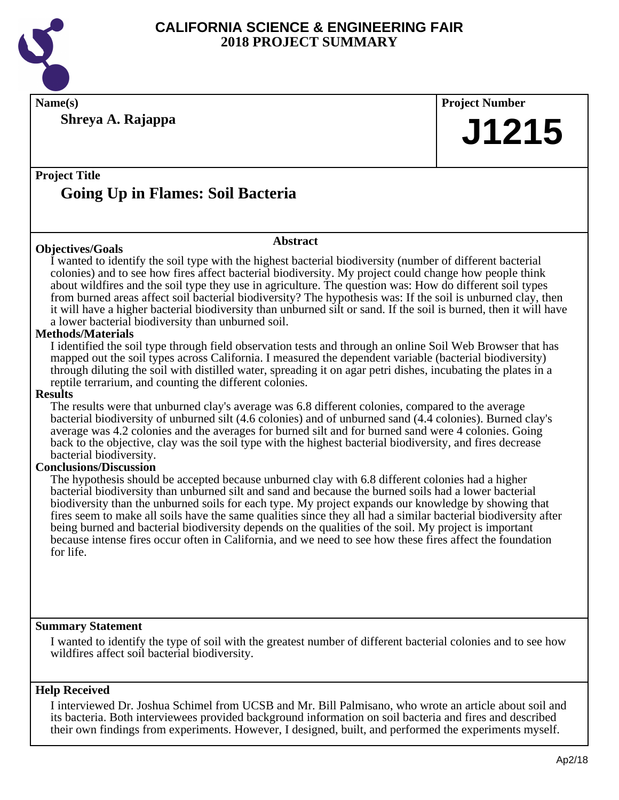

**Name(s) Project Number**

**Shreya A. Rajappa**

**J1215**

## **Project Title Going Up in Flames: Soil Bacteria**

## **Objectives/Goals**

**Abstract**

I wanted to identify the soil type with the highest bacterial biodiversity (number of different bacterial colonies) and to see how fires affect bacterial biodiversity. My project could change how people think about wildfires and the soil type they use in agriculture. The question was: How do different soil types from burned areas affect soil bacterial biodiversity? The hypothesis was: If the soil is unburned clay, then it will have a higher bacterial biodiversity than unburned silt or sand. If the soil is burned, then it will have a lower bacterial biodiversity than unburned soil.

## **Methods/Materials**

I identified the soil type through field observation tests and through an online Soil Web Browser that has mapped out the soil types across California. I measured the dependent variable (bacterial biodiversity) through diluting the soil with distilled water, spreading it on agar petri dishes, incubating the plates in a reptile terrarium, and counting the different colonies.

#### **Results**

The results were that unburned clay's average was 6.8 different colonies, compared to the average bacterial biodiversity of unburned silt (4.6 colonies) and of unburned sand (4.4 colonies). Burned clay's average was 4.2 colonies and the averages for burned silt and for burned sand were 4 colonies. Going back to the objective, clay was the soil type with the highest bacterial biodiversity, and fires decrease bacterial biodiversity.

## **Conclusions/Discussion**

The hypothesis should be accepted because unburned clay with 6.8 different colonies had a higher bacterial biodiversity than unburned silt and sand and because the burned soils had a lower bacterial biodiversity than the unburned soils for each type. My project expands our knowledge by showing that fires seem to make all soils have the same qualities since they all had a similar bacterial biodiversity after being burned and bacterial biodiversity depends on the qualities of the soil. My project is important because intense fires occur often in California, and we need to see how these fires affect the foundation for life.

## **Summary Statement**

I wanted to identify the type of soil with the greatest number of different bacterial colonies and to see how wildfires affect soil bacterial biodiversity.

## **Help Received**

I interviewed Dr. Joshua Schimel from UCSB and Mr. Bill Palmisano, who wrote an article about soil and its bacteria. Both interviewees provided background information on soil bacteria and fires and described their own findings from experiments. However, I designed, built, and performed the experiments myself.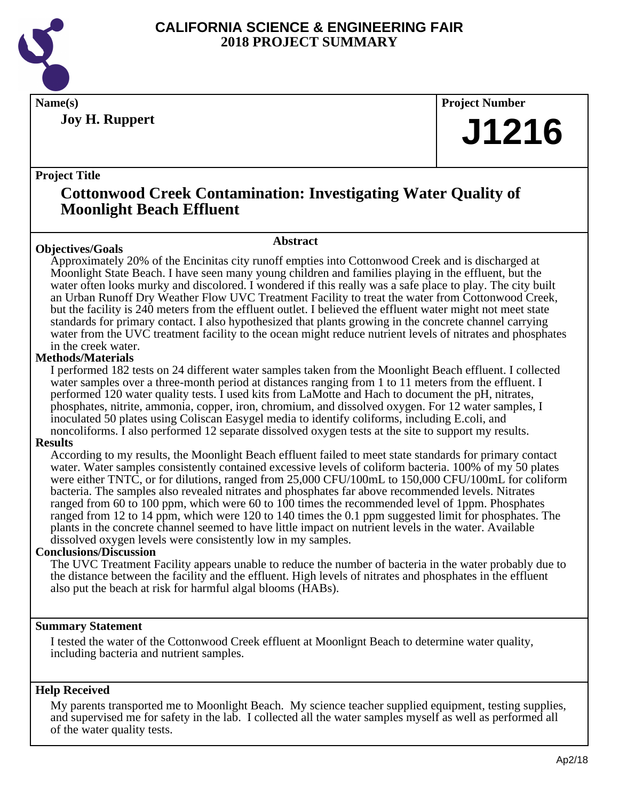

**Joy H. Ruppert**

**Name(s) Project Number**

## **J1216**

## **Project Title**

## **Cottonwood Creek Contamination: Investigating Water Quality of Moonlight Beach Effluent**

## **Abstract**

**Objectives/Goals** Approximately 20% of the Encinitas city runoff empties into Cottonwood Creek and is discharged at Moonlight State Beach. I have seen many young children and families playing in the effluent, but the water often looks murky and discolored. I wondered if this really was a safe place to play. The city built an Urban Runoff Dry Weather Flow UVC Treatment Facility to treat the water from Cottonwood Creek, but the facility is 240 meters from the effluent outlet. I believed the effluent water might not meet state standards for primary contact. I also hypothesized that plants growing in the concrete channel carrying water from the UVC treatment facility to the ocean might reduce nutrient levels of nitrates and phosphates in the creek water.

## **Methods/Materials**

I performed 182 tests on 24 different water samples taken from the Moonlight Beach effluent. I collected water samples over a three-month period at distances ranging from 1 to 11 meters from the effluent. I performed 120 water quality tests. I used kits from LaMotte and Hach to document the pH, nitrates, phosphates, nitrite, ammonia, copper, iron, chromium, and dissolved oxygen. For 12 water samples, I inoculated 50 plates using Coliscan Easygel media to identify coliforms, including E.coli, and noncoliforms. I also performed 12 separate dissolved oxygen tests at the site to support my results.

## **Results**

According to my results, the Moonlight Beach effluent failed to meet state standards for primary contact water. Water samples consistently contained excessive levels of coliform bacteria. 100% of my 50 plates were either TNTC, or for dilutions, ranged from 25,000 CFU/100mL to 150,000 CFU/100mL for coliform bacteria. The samples also revealed nitrates and phosphates far above recommended levels. Nitrates ranged from 60 to 100 ppm, which were 60 to 100 times the recommended level of 1ppm. Phosphates ranged from 12 to 14 ppm, which were 120 to 140 times the 0.1 ppm suggested limit for phosphates. The plants in the concrete channel seemed to have little impact on nutrient levels in the water. Available dissolved oxygen levels were consistently low in my samples.

## **Conclusions/Discussion**

The UVC Treatment Facility appears unable to reduce the number of bacteria in the water probably due to the distance between the facility and the effluent. High levels of nitrates and phosphates in the effluent also put the beach at risk for harmful algal blooms (HABs).

## **Summary Statement**

I tested the water of the Cottonwood Creek effluent at Moonlignt Beach to determine water quality, including bacteria and nutrient samples.

## **Help Received**

My parents transported me to Moonlight Beach. My science teacher supplied equipment, testing supplies, and supervised me for safety in the lab. I collected all the water samples myself as well as performed all of the water quality tests.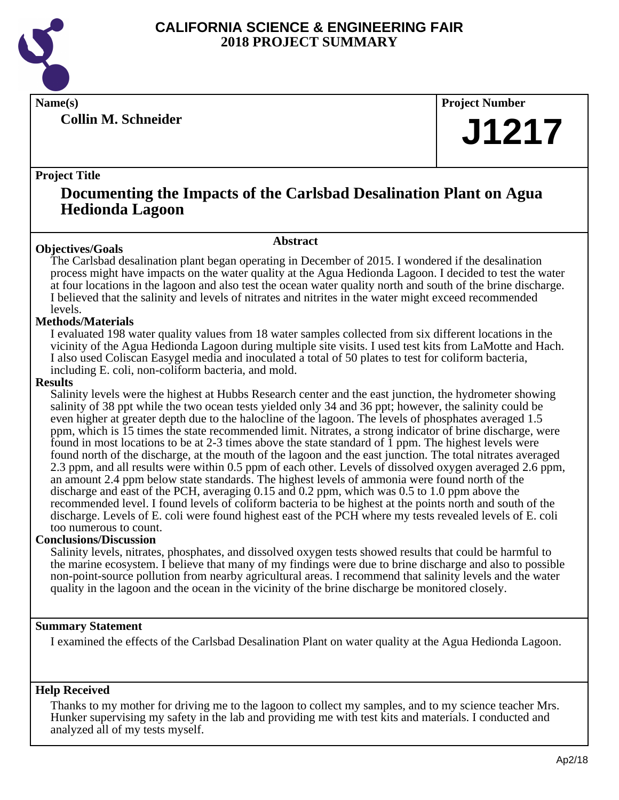

**Collin M. Schneider**

**Name(s) Project Number**

## **J1217**

## **Project Title**

## **Documenting the Impacts of the Carlsbad Desalination Plant on Agua Hedionda Lagoon**

## **Abstract**

**Objectives/Goals** The Carlsbad desalination plant began operating in December of 2015. I wondered if the desalination process might have impacts on the water quality at the Agua Hedionda Lagoon. I decided to test the water at four locations in the lagoon and also test the ocean water quality north and south of the brine discharge. I believed that the salinity and levels of nitrates and nitrites in the water might exceed recommended levels.

## **Methods/Materials**

I evaluated 198 water quality values from 18 water samples collected from six different locations in the vicinity of the Agua Hedionda Lagoon during multiple site visits. I used test kits from LaMotte and Hach. I also used Coliscan Easygel media and inoculated a total of 50 plates to test for coliform bacteria, including E. coli, non-coliform bacteria, and mold.

## **Results**

Salinity levels were the highest at Hubbs Research center and the east junction, the hydrometer showing salinity of 38 ppt while the two ocean tests yielded only 34 and 36 ppt; however, the salinity could be even higher at greater depth due to the halocline of the lagoon. The levels of phosphates averaged 1.5 ppm, which is 15 times the state recommended limit. Nitrates, a strong indicator of brine discharge, were found in most locations to be at 2-3 times above the state standard of 1 ppm. The highest levels were found north of the discharge, at the mouth of the lagoon and the east junction. The total nitrates averaged 2.3 ppm, and all results were within 0.5 ppm of each other. Levels of dissolved oxygen averaged 2.6 ppm, an amount 2.4 ppm below state standards. The highest levels of ammonia were found north of the discharge and east of the PCH, averaging 0.15 and 0.2 ppm, which was 0.5 to 1.0 ppm above the recommended level. I found levels of coliform bacteria to be highest at the points north and south of the discharge. Levels of E. coli were found highest east of the PCH where my tests revealed levels of E. coli too numerous to count.

## **Conclusions/Discussion**

Salinity levels, nitrates, phosphates, and dissolved oxygen tests showed results that could be harmful to the marine ecosystem. I believe that many of my findings were due to brine discharge and also to possible non-point-source pollution from nearby agricultural areas. I recommend that salinity levels and the water quality in the lagoon and the ocean in the vicinity of the brine discharge be monitored closely.

## **Summary Statement**

I examined the effects of the Carlsbad Desalination Plant on water quality at the Agua Hedionda Lagoon.

## **Help Received**

Thanks to my mother for driving me to the lagoon to collect my samples, and to my science teacher Mrs. Hunker supervising my safety in the lab and providing me with test kits and materials. I conducted and analyzed all of my tests myself.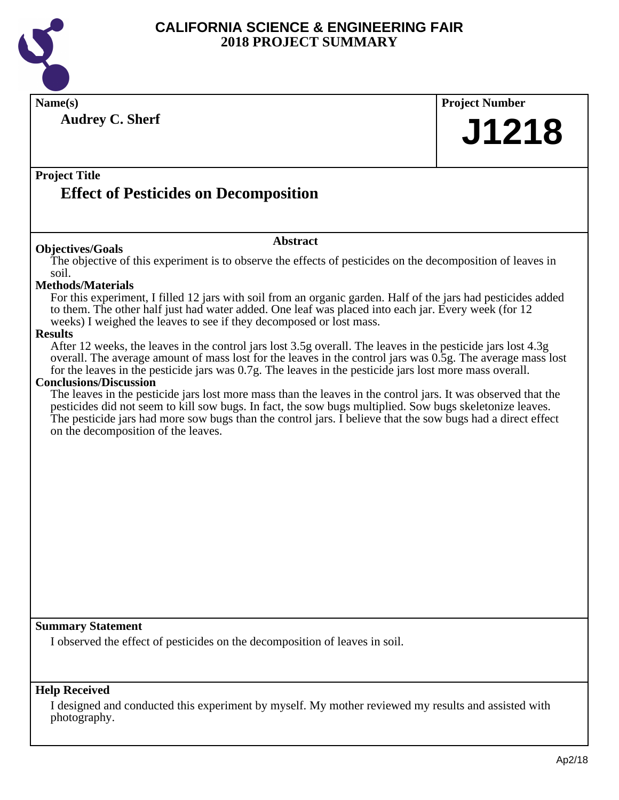

| Name(s)                                                                                                                                                                                                                                                                                                                                  | <b>Project Number</b> |
|------------------------------------------------------------------------------------------------------------------------------------------------------------------------------------------------------------------------------------------------------------------------------------------------------------------------------------------|-----------------------|
| <b>Audrey C. Sherf</b>                                                                                                                                                                                                                                                                                                                   | J1218                 |
|                                                                                                                                                                                                                                                                                                                                          |                       |
| <b>Project Title</b>                                                                                                                                                                                                                                                                                                                     |                       |
| <b>Effect of Pesticides on Decomposition</b>                                                                                                                                                                                                                                                                                             |                       |
|                                                                                                                                                                                                                                                                                                                                          |                       |
| <b>Abstract</b><br><b>Objectives/Goals</b>                                                                                                                                                                                                                                                                                               |                       |
| The objective of this experiment is to observe the effects of pesticides on the decomposition of leaves in<br>soil.                                                                                                                                                                                                                      |                       |
| <b>Methods/Materials</b>                                                                                                                                                                                                                                                                                                                 |                       |
| For this experiment, I filled 12 jars with soil from an organic garden. Half of the jars had pesticides added<br>to them. The other half just had water added. One leaf was placed into each jar. Every week (for 12<br>weeks) I weighed the leaves to see if they decomposed or lost mass.                                              |                       |
| <b>Results</b>                                                                                                                                                                                                                                                                                                                           |                       |
| After 12 weeks, the leaves in the control jars lost 3.5g overall. The leaves in the pesticide jars lost 4.3g<br>overall. The average amount of mass lost for the leaves in the control jars was 0.5g. The average mass lost<br>for the leaves in the pesticide jars was 0.7g. The leaves in the pesticide jars lost more mass overall.   |                       |
| <b>Conclusions/Discussion</b>                                                                                                                                                                                                                                                                                                            |                       |
| The leaves in the pesticide jars lost more mass than the leaves in the control jars. It was observed that the<br>pesticides did not seem to kill sow bugs. In fact, the sow bugs multiplied. Sow bugs skeletonize leaves.<br>The pesticide jars had more sow bugs than the control jars. I believe that the sow bugs had a direct effect |                       |
| on the decomposition of the leaves.                                                                                                                                                                                                                                                                                                      |                       |
|                                                                                                                                                                                                                                                                                                                                          |                       |
|                                                                                                                                                                                                                                                                                                                                          |                       |
|                                                                                                                                                                                                                                                                                                                                          |                       |
|                                                                                                                                                                                                                                                                                                                                          |                       |
|                                                                                                                                                                                                                                                                                                                                          |                       |
|                                                                                                                                                                                                                                                                                                                                          |                       |
|                                                                                                                                                                                                                                                                                                                                          |                       |
|                                                                                                                                                                                                                                                                                                                                          |                       |
|                                                                                                                                                                                                                                                                                                                                          |                       |
| <b>Summary Statement</b>                                                                                                                                                                                                                                                                                                                 |                       |
| I observed the effect of pesticides on the decomposition of leaves in soil.                                                                                                                                                                                                                                                              |                       |
|                                                                                                                                                                                                                                                                                                                                          |                       |
|                                                                                                                                                                                                                                                                                                                                          |                       |
| <b>Help Received</b>                                                                                                                                                                                                                                                                                                                     |                       |

I designed and conducted this experiment by myself. My mother reviewed my results and assisted with photography.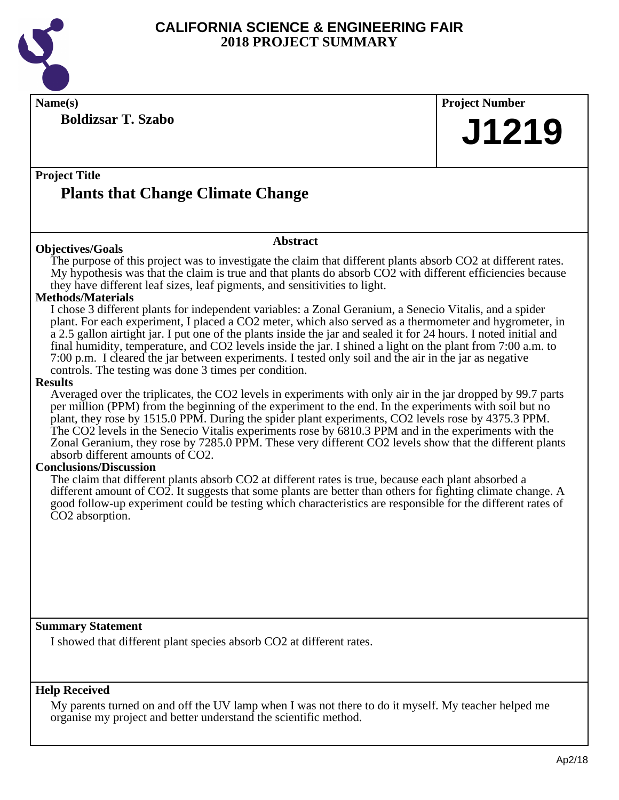

**Name(s) Project Number**

**Boldizsar T. Szabo**

**J1219**

## **Project Title Plants that Change Climate Change**

#### **Objectives/Goals**

## **Abstract**

The purpose of this project was to investigate the claim that different plants absorb CO2 at different rates. My hypothesis was that the claim is true and that plants do absorb CO2 with different efficiencies because they have different leaf sizes, leaf pigments, and sensitivities to light.

## **Methods/Materials**

I chose 3 different plants for independent variables: a Zonal Geranium, a Senecio Vitalis, and a spider plant. For each experiment, I placed a CO2 meter, which also served as a thermometer and hygrometer, in a 2.5 gallon airtight jar. I put one of the plants inside the jar and sealed it for 24 hours. I noted initial and final humidity, temperature, and CO2 levels inside the jar. I shined a light on the plant from 7:00 a.m. to 7:00 p.m. I cleared the jar between experiments. I tested only soil and the air in the jar as negative controls. The testing was done 3 times per condition.

#### **Results**

Averaged over the triplicates, the CO2 levels in experiments with only air in the jar dropped by 99.7 parts per million (PPM) from the beginning of the experiment to the end. In the experiments with soil but no plant, they rose by 1515.0 PPM. During the spider plant experiments, CO2 levels rose by 4375.3 PPM. The CO2 levels in the Senecio Vitalis experiments rose by 6810.3 PPM and in the experiments with the Zonal Geranium, they rose by 7285.0 PPM. These very different CO2 levels show that the different plants absorb different amounts of CO2.

## **Conclusions/Discussion**

The claim that different plants absorb CO2 at different rates is true, because each plant absorbed a different amount of CO2. It suggests that some plants are better than others for fighting climate change. A good follow-up experiment could be testing which characteristics are responsible for the different rates of CO2 absorption.

## **Summary Statement**

I showed that different plant species absorb CO2 at different rates.

## **Help Received**

My parents turned on and off the UV lamp when I was not there to do it myself. My teacher helped me organise my project and better understand the scientific method.